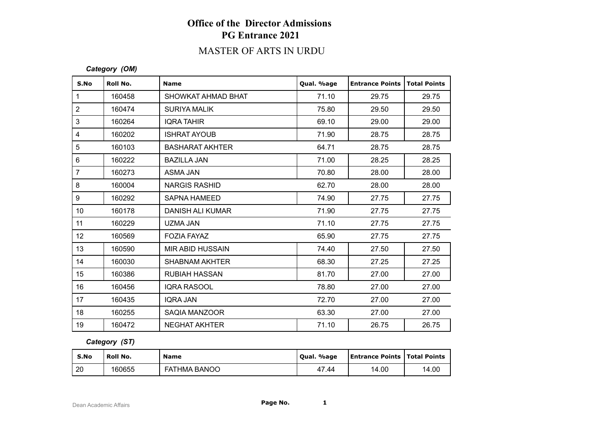# **Office of the Director Admissions PG Entrance 2021**

## MASTER OF ARTS IN URDU

#### *Category (OM)*

| S.No           | Roll No. | <b>Name</b>             | Qual. %age | <b>Entrance Points</b> | <b>Total Points</b> |
|----------------|----------|-------------------------|------------|------------------------|---------------------|
| $\mathbf{1}$   | 160458   | SHOWKAT AHMAD BHAT      | 71.10      | 29.75                  | 29.75               |
| $\overline{2}$ | 160474   | <b>SURIYA MALIK</b>     | 75.80      | 29.50                  | 29.50               |
| 3              | 160264   | <b>IQRA TAHIR</b>       | 69.10      | 29.00                  | 29.00               |
| 4              | 160202   | <b>ISHRAT AYOUB</b>     | 71.90      | 28.75                  | 28.75               |
| $\sqrt{5}$     | 160103   | <b>BASHARAT AKHTER</b>  | 64.71      | 28.75                  | 28.75               |
| $6\phantom{1}$ | 160222   | <b>BAZILLA JAN</b>      | 71.00      | 28.25                  | 28.25               |
| $\overline{7}$ | 160273   | ASMA JAN                | 70.80      | 28.00                  | 28.00               |
| 8              | 160004   | <b>NARGIS RASHID</b>    | 62.70      | 28.00                  | 28.00               |
| 9              | 160292   | <b>SAPNA HAMEED</b>     | 74.90      | 27.75                  | 27.75               |
| 10             | 160178   | <b>DANISH ALI KUMAR</b> | 71.90      | 27.75                  | 27.75               |
| 11             | 160229   | UZMA JAN                | 71.10      | 27.75                  | 27.75               |
| 12             | 160569   | <b>FOZIA FAYAZ</b>      | 65.90      | 27.75                  | 27.75               |
| 13             | 160590   | <b>MIR ABID HUSSAIN</b> | 74.40      | 27.50                  | 27.50               |
| 14             | 160030   | <b>SHABNAM AKHTER</b>   | 68.30      | 27.25                  | 27.25               |
| 15             | 160386   | <b>RUBIAH HASSAN</b>    | 81.70      | 27.00                  | 27.00               |
| 16             | 160456   | <b>IQRA RASOOL</b>      | 78.80      | 27.00                  | 27.00               |
| 17             | 160435   | <b>IQRA JAN</b>         | 72.70      | 27.00                  | 27.00               |
| 18             | 160255   | SAQIA MANZOOR           | 63.30      | 27.00                  | 27.00               |
| 19             | 160472   | <b>NEGHAT AKHTER</b>    | 71.10      | 26.75                  | 26.75               |

### *Category (ST)*

| S.No | Roll No. | <b>Name</b>         | Oual, %age | <b>Entrance Points   Total Points</b> |       |
|------|----------|---------------------|------------|---------------------------------------|-------|
| 20   | 160655   | <b>FATHMA BANOO</b> | 47.44      | 14.00                                 | 14.00 |